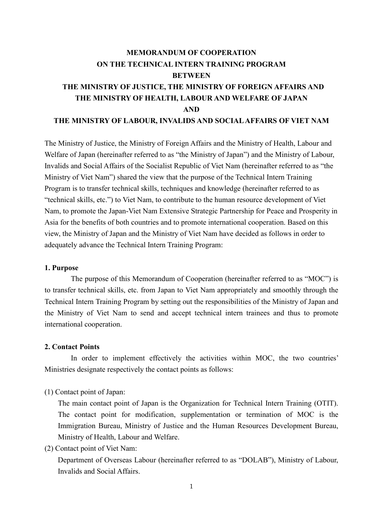# **MEMORANDUM OF COOPERATION ON THE TECHNICAL INTERN TRAINING PROGRAM BETWEEN THE MINISTRY OF JUSTICE, THE MINISTRY OF FOREIGN AFFAIRS AND THE MINISTRY OF HEALTH, LABOUR AND WELFARE OF JAPAN AND**

### **THE MINISTRY OF LABOUR, INVALIDS AND SOCIALAFFAIRS OF VIET NAM**

The Ministry of Justice, the Ministry of Foreign Affairs and the Ministry of Health, Labour and Welfare of Japan (hereinafter referred to as "the Ministry of Japan") and the Ministry of Labour, Invalids and Social Affairs of the Socialist Republic of Viet Nam (hereinafter referred to as "the Ministry of Viet Nam") shared the view that the purpose of the Technical Intern Training Program is to transfer technical skills, techniques and knowledge (hereinafter referred to as "technical skills, etc.") to Viet Nam, to contribute to the human resource development of Viet Nam, to promote the Japan-Viet Nam Extensive Strategic Partnership for Peace and Prosperity in Asia for the benefits of both countries and to promote international cooperation. Based on this view, the Ministry of Japan and the Ministry of Viet Nam have decided as follows in order to adequately advance the Technical Intern Training Program:

#### **1. Purpose**

The purpose of this Memorandum of Cooperation (hereinafter referred to as "MOC") is to transfer technical skills, etc. from Japan to Viet Nam appropriately and smoothly through the Technical Intern Training Program by setting out the responsibilities of the Ministry of Japan and the Ministry of Viet Nam to send and accept technical intern trainees and thus to promote international cooperation.

### **2. Contact Points**

In order to implement effectively the activities within MOC, the two countries' Ministries designate respectively the contact points as follows:

(1) Contact point of Japan:

The main contact point of Japan is the Organization for Technical Intern Training (OTIT). The contact point for modification, supplementation or termination of MOC is the Immigration Bureau, Ministry of Justice and the Human Resources Development Bureau, Ministry of Health, Labour and Welfare.

(2) Contact point of Viet Nam:

Department of Overseas Labour (hereinafter referred to as "DOLAB"), Ministry of Labour, Invalids and Social Affairs.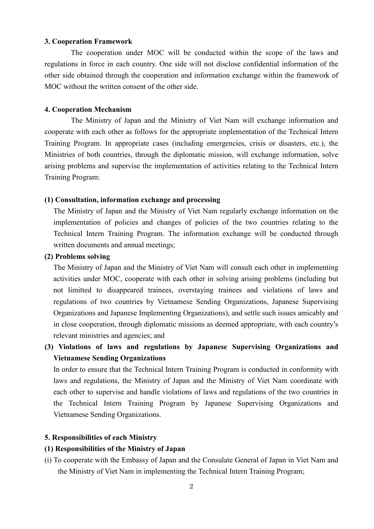### **3. Cooperation Framework**

The cooperation under MOC will be conducted within the scope of the laws and regulations in force in each country. One side will not disclose confidential information of the other side obtained through the cooperation and information exchange within the framework of MOC without the written consent of the other side.

### **4. Cooperation Mechanism**

The Ministry of Japan and the Ministry of Viet Nam will exchange information and cooperate with each other as follows for the appropriate implementation of the Technical Intern Training Program. In appropriate cases (including emergencies, crisis or disasters, etc.), the Ministries of both countries, through the diplomatic mission, will exchange information, solve arising problems and supervise the implementation of activities relating to the Technical Intern Training Program:

### **(1) Consultation, information exchange and processing**

The Ministry of Japan and the Ministry of Viet Nam regularly exchange information on the implementation of policies and changes of policies of the two countries relating to the Technical Intern Training Program. The information exchange will be conducted through written documents and annual meetings;

#### **(2) Problems solving**

The Ministry of Japan and the Ministry of Viet Nam will consult each other in implementing activities under MOC, cooperate with each other in solving arising problems (including but not limitted to disappeared trainees, overstaying trainees and violations of laws and regulations of two countries by Vietnamese Sending Organizations, Japanese Supervising Organizations and Japanese Implementing Organizations), and settle such issues amicably and in close cooperation, through diplomatic missions as deemed appropriate, with each country's relevant ministries and agencies; and

**(3) Violations of laws and regulations by Japanese Supervising Organizations and Vietnamese Sending Organizations**

In order to ensure that the Technical Intern Training Program is conducted in conformity with laws and regulations, the Ministry of Japan and the Ministry of Viet Nam coordinate with each other to supervise and handle violations of laws and regulations of the two countries in the Technical Intern Training Program by Japanese Supervising Organizations and Vietnamese Sending Organizations.

### **5. Responsibilities of each Ministry**

### **(1) Responsibilities of the Ministry of Japan**

(i) To cooperate with the Embassy of Japan and the Consulate General of Japan in Viet Nam and the Ministry of Viet Nam in implementing the Technical Intern Training Program;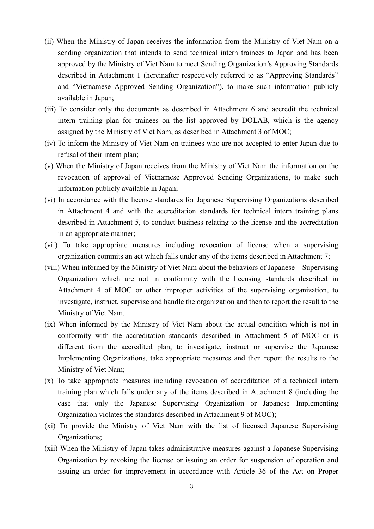- (ii) When the Ministry of Japan receives the information from the Ministry of Viet Nam on a sending organization that intends to send technical intern trainees to Japan and has been approved by the Ministry of Viet Nam to meet Sending Organization's Approving Standards described in Attachment 1 (hereinafter respectively referred to as "Approving Standards" and "Vietnamese Approved Sending Organization"), to make such information publicly available in Japan;
- (iii) To consider only the documents as described in Attachment 6 and accredit the technical intern training plan for trainees on the list approved by DOLAB, which is the agency assigned by the Ministry of Viet Nam, as described in Attachment 3 of MOC;
- (iv) To inform the Ministry of Viet Nam on trainees who are not accepted to enter Japan due to refusal of their intern plan;
- (v) When the Ministry of Japan receives from the Ministry of Viet Nam the information on the revocation of approval of Vietnamese Approved Sending Organizations, to make such information publicly available in Japan;
- (vi) In accordance with the license standards for Japanese Supervising Organizations described in Attachment 4 and with the accreditation standards for technical intern training plans described in Attachment 5, to conduct business relating to the license and the accreditation in an appropriate manner;
- (vii) To take appropriate measures including revocation of license when a supervising organization commits an act which falls under any of the items described in Attachment 7;
- (viii) When informed by the Ministry of Viet Nam about the behaviors of Japanese Supervising Organization which are not in conformity with the licensing standards described in Attachment 4 of MOC or other improper activities of the supervising organization, to investigate, instruct, supervise and handle the organization and then to report the result to the Ministry of Viet Nam.
- (ix) When informed by the Ministry of Viet Nam about the actual condition which is not in conformity with the accreditation standards described in Attachment 5 of MOC or is different from the accredited plan, to investigate, instruct or supervise the Japanese Implementing Organizations, take appropriate measures and then report the results to the Ministry of Viet Nam;
- (x) To take appropriate measures including revocation of accreditation of a technical intern training plan which falls under any of the items described in Attachment 8 (including the case that only the Japanese Supervising Organization or Japanese Implementing Organization violates the standards described in Attachment 9 of MOC);
- (xi) To provide the Ministry of Viet Nam with the list of licensed Japanese Supervising Organizations;
- (xii) When the Ministry of Japan takes administrative measures against a Japanese Supervising Organization by revoking the license or issuing an order for suspension of operation and issuing an order for improvement in accordance with Article 36 of the Act on Proper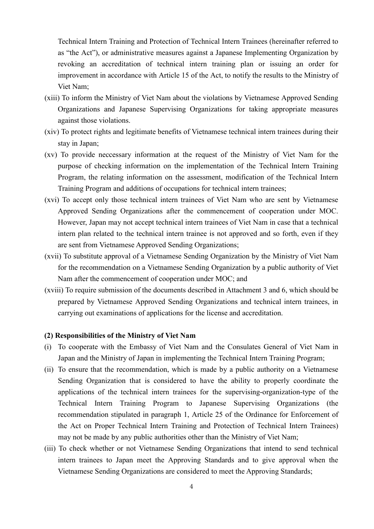Technical Intern Training and Protection of Technical Intern Trainees (hereinafter referred to as "the Act"), or administrative measures against a Japanese Implementing Organization by revoking an accreditation of technical intern training plan or issuing an order for improvement in accordance with Article 15 of the Act, to notify the results to the Ministry of Viet Nam;

- (xiii) To inform the Ministry of Viet Nam about the violations by Vietnamese Approved Sending Organizations and Japanese Supervising Organizations for taking appropriate measures against those violations.
- (xiv) To protect rights and legitimate benefits of Vietnamese technical intern trainees during their stay in Japan;
- (xv) To provide neccessary information at the request of the Ministry of Viet Nam for the purpose of checking information on the implementation of the Technical Intern Training Program, the relating information on the assessment, modification of the Technical Intern Training Program and additions of occupations for technical intern trainees;
- (xvi) To accept only those technical intern trainees of Viet Nam who are sent by Vietnamese Approved Sending Organizations after the commencement of cooperation under MOC. However, Japan may not accept technical intern trainees of Viet Nam in case that a technical intern plan related to the technical intern trainee is not approved and so forth, even if they are sent from Vietnamese Approved Sending Organizations;
- (xvii) To substitute approval of a Vietnamese Sending Organization by the Ministry of Viet Nam for the recommendation on a Vietnamese Sending Organization by a public authority of Viet Nam after the commencement of cooperation under MOC; and
- (xviii) To require submission of the documents described in Attachment 3 and 6, which should be prepared by Vietnamese Approved Sending Organizations and technical intern trainees, in carrying out examinations of applications for the license and accreditation.

### **(2) Responsibilities of the Ministry of Viet Nam**

- (i) To cooperate with the Embassy of Viet Nam and the Consulates General of Viet Nam in Japan and the Ministry of Japan in implementing the Technical Intern Training Program;
- (ii) To ensure that the recommendation, which is made by a public authority on a Vietnamese Sending Organization that is considered to have the ability to properly coordinate the applications of the technical intern trainees for the supervising-organization-type of the Technical Intern Training Program to Japanese Supervising Organizations (the recommendation stipulated in paragraph 1, Article 25 of the Ordinance for Enforcement of the Act on Proper Technical Intern Training and Protection of Technical Intern Trainees) may not be made by any public authorities other than the Ministry of Viet Nam;
- (iii) To check whether or not Vietnamese Sending Organizations that intend to send technical intern trainees to Japan meet the Approving Standards and to give approval when the Vietnamese Sending Organizations are considered to meet the Approving Standards;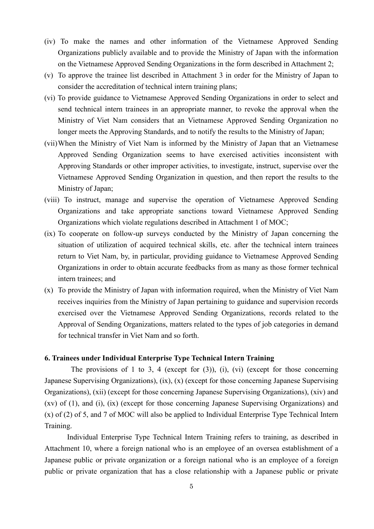- (iv) To make the names and other information of the Vietnamese Approved Sending Organizations publicly available and to provide the Ministry of Japan with the information on the Vietnamese Approved Sending Organizations in the form described in Attachment 2;
- (v) To approve the trainee list described in Attachment 3 in order for the Ministry of Japan to consider the accreditation of technical intern training plans;
- (vi) To provide guidance to Vietnamese Approved Sending Organizations in order to select and send technical intern trainees in an appropriate manner, to revoke the approval when the Ministry of Viet Nam considers that an Vietnamese Approved Sending Organization no longer meets the Approving Standards, and to notify the results to the Ministry of Japan;
- (vii)When the Ministry of Viet Nam is informed by the Ministry of Japan that an Vietnamese Approved Sending Organization seems to have exercised activities inconsistent with Approving Standards or other improper activities, to investigate, instruct, supervise over the Vietnamese Approved Sending Organization in question, and then report the results to the Ministry of Japan;
- (viii) To instruct, manage and supervise the operation of Vietnamese Approved Sending Organizations and take appropriate sanctions toward Vietnamese Approved Sending Organizations which violate regulations described in Attachment 1 of MOC;
- (ix) To cooperate on follow-up surveys conducted by the Ministry of Japan concerning the situation of utilization of acquired technical skills, etc. after the technical intern trainees return to Viet Nam, by, in particular, providing guidance to Vietnamese Approved Sending Organizations in order to obtain accurate feedbacks from as many as those former technical intern trainees; and
- (x) To provide the Ministry of Japan with information required, when the Ministry of Viet Nam receives inquiries from the Ministry of Japan pertaining to guidance and supervision records exercised over the Vietnamese Approved Sending Organizations, records related to the Approval of Sending Organizations, matters related to the types of job categories in demand for technical transfer in Viet Nam and so forth.

### **6. Trainees under Individual Enterprise Type Technical Intern Training**

The provisions of 1 to 3, 4 (except for  $(3)$ ),  $(i)$ ,  $(vi)$  (except for those concerning Japanese Supervising Organizations), (ix), (x) (except for those concerning Japanese Supervising Organizations), (xii) (except for those concerning Japanese Supervising Organizations), (xiv) and (xv) of (1), and (i), (ix) (except for those concerning Japanese Supervising Organizations) and (x) of (2) of 5, and 7 of MOC will also be applied to Individual Enterprise Type Technical Intern Training.

Individual Enterprise Type Technical Intern Training refers to training, as described in Attachment 10, where a foreign national who is an employee of an oversea establishment of a Japanese public or private organization or a foreign national who is an employee of a foreign public or private organization that has a close relationship with a Japanese public or private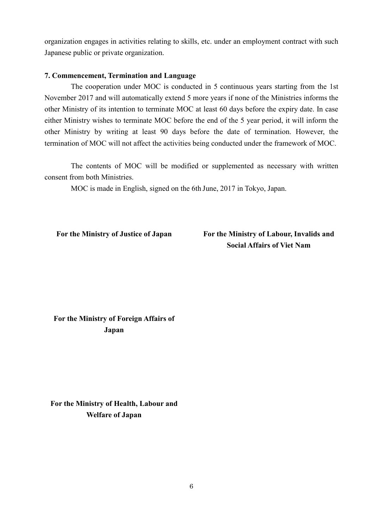organization engages in activities relating to skills, etc. under an employment contract with such Japanese public or private organization.

### **7. Commencement, Termination and Language**

The cooperation under MOC is conducted in 5 continuous years starting from the 1st November 2017 and will automatically extend 5 more years if none of the Ministries informs the other Ministry of its intention to terminate MOC at least 60 days before the expiry date. In case either Ministry wishes to terminate MOC before the end of the 5 year period, it will inform the other Ministry by writing at least 90 days before the date of termination. However, the termination of MOC will not affect the activities being conducted under the framework of MOC.

The contents of MOC will be modified or supplemented as necessary with written consent from both Ministries.

MOC is made in English, signed on the 6th June, 2017 in Tokyo, Japan.

**For the Ministry of Justice of Japan For the Ministry of Labour, Invalids and Social Affairs of Viet Nam**

**For the Ministry of Foreign Affairs of Japan**

**For the Ministry of Health, Labour and Welfare of Japan**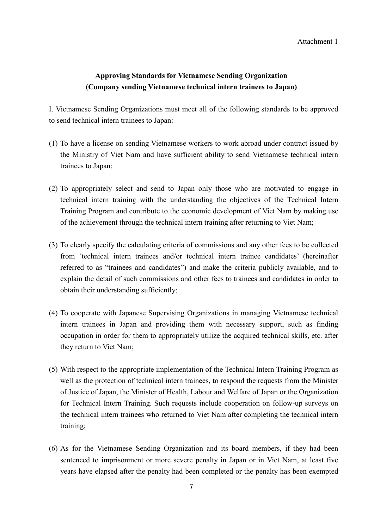Attachment 1

# **Approving Standards for Vietnamese Sending Organization (Company sending Vietnamese technical intern trainees to Japan)**

I. Vietnamese Sending Organizations must meet all of the following standards to be approved to send technical intern trainees to Japan:

- (1) To have a license on sending Vietnamese workers to work abroad under contract issued by the Ministry of Viet Nam and have sufficient ability to send Vietnamese technical intern trainees to Japan;
- (2) To appropriately select and send to Japan only those who are motivated to engage in technical intern training with the understanding the objectives of the Technical Intern Training Program and contribute to the economic development of Viet Nam by making use of the achievement through the technical intern training after returning to Viet Nam;
- (3) To clearly specify the calculating criteria of commissions and any other fees to be collected from 'technical intern trainees and/or technical intern trainee candidates' (hereinafter referred to as "trainees and candidates") and make the criteria publicly available, and to explain the detail of such commissions and other fees to trainees and candidates in order to obtain their understanding sufficiently;
- (4) To cooperate with Japanese Supervising Organizations in managing Vietnamese technical intern trainees in Japan and providing them with necessary support, such as finding occupation in order for them to appropriately utilize the acquired technical skills, etc. after they return to Viet Nam;
- (5) With respect to the appropriate implementation of the Technical Intern Training Program as well as the protection of technical intern trainees, to respond the requests from the Minister of Justice of Japan, the Minister of Health, Labour and Welfare of Japan or the Organization for Technical Intern Training. Such requests include cooperation on follow-up surveys on the technical intern trainees who returned to Viet Nam after completing the technical intern training;
- (6) As for the Vietnamese Sending Organization and its board members, if they had been sentenced to imprisonment or more severe penalty in Japan or in Viet Nam, at least five years have elapsed after the penalty had been completed or the penalty has been exempted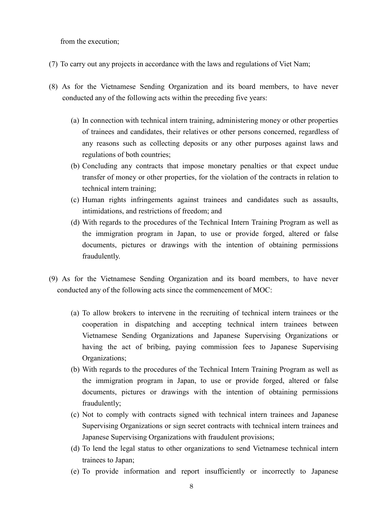from the execution;

- (7) To carry out any projects in accordance with the laws and regulations of Viet Nam;
- (8) As for the Vietnamese Sending Organization and its board members, to have never conducted any of the following acts within the preceding five years:
	- (a) In connection with technical intern training, administering money or other properties of trainees and candidates, their relatives or other persons concerned, regardless of any reasons such as collecting deposits or any other purposes against laws and regulations of both countries;
	- (b) Concluding any contracts that impose monetary penalties or that expect undue transfer of money or other properties, for the violation of the contracts in relation to technical intern training;
	- (c) Human rights infringements against trainees and candidates such as assaults, intimidations, and restrictions of freedom; and
	- (d) With regards to the procedures of the Technical Intern Training Program as well as the immigration program in Japan, to use or provide forged, altered or false documents, pictures or drawings with the intention of obtaining permissions fraudulently.
- (9) As for the Vietnamese Sending Organization and its board members, to have never conducted any of the following acts since the commencement of MOC:
	- (a) To allow brokers to intervene in the recruiting of technical intern trainees or the cooperation in dispatching and accepting technical intern trainees between Vietnamese Sending Organizations and Japanese Supervising Organizations or having the act of bribing, paying commission fees to Japanese Supervising Organizations;
	- (b) With regards to the procedures of the Technical Intern Training Program as well as the immigration program in Japan, to use or provide forged, altered or false documents, pictures or drawings with the intention of obtaining permissions fraudulently;
	- (c) Not to comply with contracts signed with technical intern trainees and Japanese Supervising Organizations or sign secret contracts with technical intern trainees and Japanese Supervising Organizations with fraudulent provisions;
	- (d) To lend the legal status to other organizations to send Vietnamese technical intern trainees to Japan;
	- (e) To provide information and report insufficiently or incorrectly to Japanese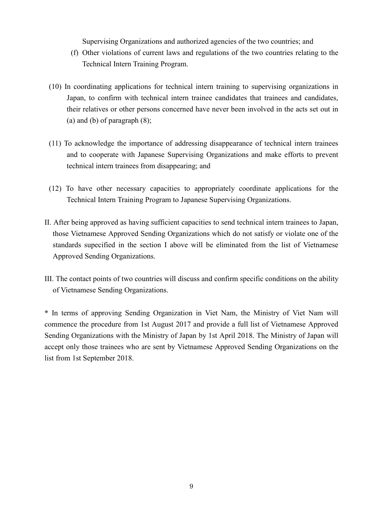Supervising Organizations and authorized agencies of the two countries; and

- (f) Other violations of current laws and regulations of the two countries relating to the Technical Intern Training Program.
- (10) In coordinating applications for technical intern training to supervising organizations in Japan, to confirm with technical intern trainee candidates that trainees and candidates, their relatives or other persons concerned have never been involved in the acts set out in (a) and (b) of paragraph (8);
- (11) To acknowledge the importance of addressing disappearance of technical intern trainees and to cooperate with Japanese Supervising Organizations and make efforts to prevent technical intern trainees from disappearing; and
- (12) To have other necessary capacities to appropriately coordinate applications for the Technical Intern Training Program to Japanese Supervising Organizations.
- II. After being approved as having sufficient capacities to send technical intern trainees to Japan, those Vietnamese Approved Sending Organizations which do not satisfy or violate one of the standards supecified in the section I above will be eliminated from the list of Vietnamese Approved Sending Organizations.
- III. The contact points of two countries will discuss and confirm specific conditions on the ability of Vietnamese Sending Organizations.

**\*** In terms of approving Sending Organization in Viet Nam, the Ministry of Viet Nam will commence the procedure from 1st August 2017 and provide a full list of Vietnamese Approved Sending Organizations with the Ministry of Japan by 1st April 2018. The Ministry of Japan will accept only those trainees who are sent by Vietnamese Approved Sending Organizations on the list from 1st September 2018.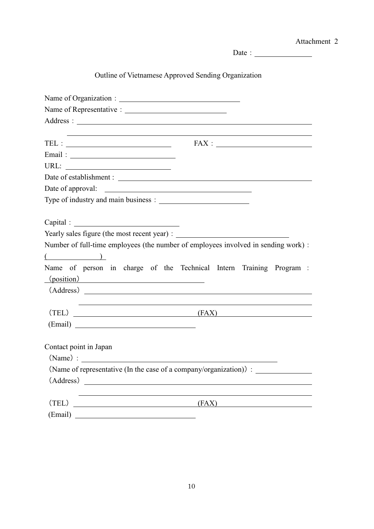|                        | Attachment 2                                                                       |
|------------------------|------------------------------------------------------------------------------------|
|                        | Date : $\frac{1}{\sqrt{1-\frac{1}{2}} \cdot \frac{1}{2}}$                          |
|                        | Outline of Vietnamese Approved Sending Organization                                |
|                        |                                                                                    |
|                        |                                                                                    |
|                        |                                                                                    |
|                        |                                                                                    |
|                        |                                                                                    |
|                        |                                                                                    |
|                        |                                                                                    |
|                        |                                                                                    |
|                        | Date of approval:                                                                  |
|                        |                                                                                    |
|                        |                                                                                    |
|                        |                                                                                    |
|                        |                                                                                    |
|                        | Number of full-time employees (the number of employees involved in sending work) : |
| $($ $)$                |                                                                                    |
| (position)             | Name of person in charge of the Technical Intern Training Program :                |
|                        |                                                                                    |
|                        |                                                                                    |
| (TEL)                  | (FAX)                                                                              |
|                        |                                                                                    |
|                        |                                                                                    |
| Contact point in Japan |                                                                                    |
| $(Name)$ :             |                                                                                    |
|                        | (Name of representative (In the case of a company/organization)):                  |
|                        |                                                                                    |
|                        |                                                                                    |
| (TEL)                  | (FAX)                                                                              |
| (Email)                | <u> 1989 - Johann Barbara, martxa eta politikaria (h. 1989).</u>                   |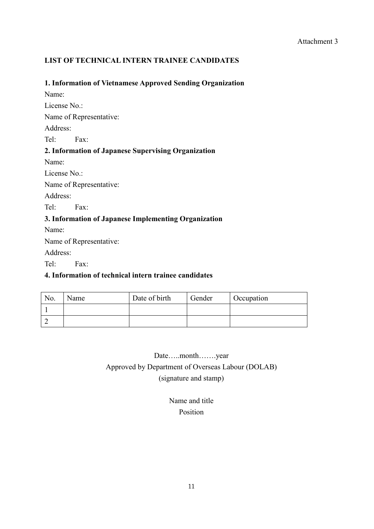# **LIST OF TECHNICAL INTERN TRAINEE CANDIDATES**

### **1. Information of Vietnamese Approved Sending Organization**

Name: License No.: Name of Representative: Address: Tel: Fax:

# **2. Information of Japanese Supervising Organization**

Name:

License No.:

Name of Representative:

Address:

Tel: Fax:

# **3. Information of Japanese Implementing Organization**

Name:

Name of Representative:

Address:

Tel: Fax:

## **4. Information of technical intern trainee candidates**

| No. | Name | Date of birth | Gender | Occupation |
|-----|------|---------------|--------|------------|
|     |      |               |        |            |
|     |      |               |        |            |

# Date…..month…….year Approved by Department of Overseas Labour (DOLAB) (signature and stamp)

# Name and title Position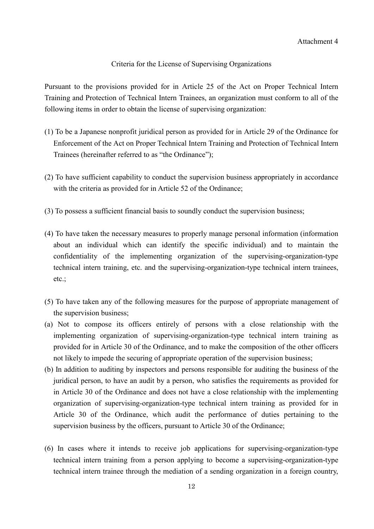### Criteria for the License of Supervising Organizations

Pursuant to the provisions provided for in Article 25 of the Act on Proper Technical Intern Training and Protection of Technical Intern Trainees, an organization must conform to all of the following items in order to obtain the license of supervising organization:

- (1) To be a Japanese nonprofit juridical person as provided for in Article 29 of the Ordinance for Enforcement of the Act on Proper Technical Intern Training and Protection of Technical Intern Trainees (hereinafter referred to as "the Ordinance");
- (2) To have sufficient capability to conduct the supervision business appropriately in accordance with the criteria as provided for in Article 52 of the Ordinance;
- (3) To possess a sufficient financial basis to soundly conduct the supervision business;
- (4) To have taken the necessary measures to properly manage personal information (information about an individual which can identify the specific individual) and to maintain the confidentiality of the implementing organization of the supervising-organization-type technical intern training, etc. and the supervising-organization-type technical intern trainees, etc.;
- (5) To have taken any of the following measures for the purpose of appropriate management of the supervision business;
- (a) Not to compose its officers entirely of persons with a close relationship with the implementing organization of supervising-organization-type technical intern training as provided for in Article 30 of the Ordinance, and to make the composition of the other officers not likely to impede the securing of appropriate operation of the supervision business;
- (b) In addition to auditing by inspectors and persons responsible for auditing the business of the juridical person, to have an audit by a person, who satisfies the requirements as provided for in Article 30 of the Ordinance and does not have a close relationship with the implementing organization of supervising-organization-type technical intern training as provided for in Article 30 of the Ordinance, which audit the performance of duties pertaining to the supervision business by the officers, pursuant to Article 30 of the Ordinance;
- (6) In cases where it intends to receive job applications for supervising-organization-type technical intern training from a person applying to become a supervising-organization-type technical intern trainee through the mediation of a sending organization in a foreign country,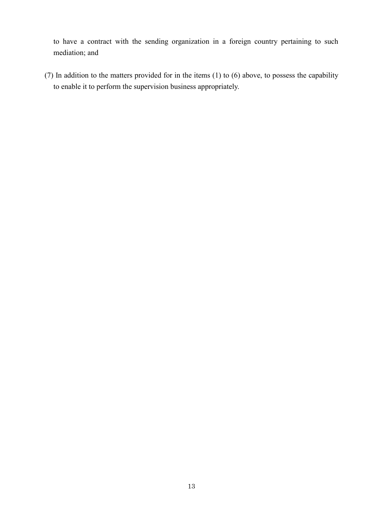to have a contract with the sending organization in a foreign country pertaining to such mediation; and

(7) In addition to the matters provided for in the items (1) to (6) above, to possess the capability to enable it to perform the supervision business appropriately.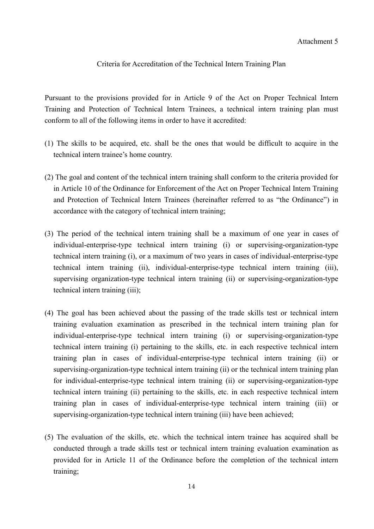### Criteria for Accreditation of the Technical Intern Training Plan

Pursuant to the provisions provided for in Article 9 of the Act on Proper Technical Intern Training and Protection of Technical Intern Trainees, a technical intern training plan must conform to all of the following items in order to have it accredited:

- (1) The skills to be acquired, etc. shall be the ones that would be difficult to acquire in the technical intern trainee's home country.
- (2) The goal and content of the technical intern training shall conform to the criteria provided for in Article 10 of the Ordinance for Enforcement of the Act on Proper Technical Intern Training and Protection of Technical Intern Trainees (hereinafter referred to as "the Ordinance") in accordance with the category of technical intern training;
- (3) The period of the technical intern training shall be a maximum of one year in cases of individual-enterprise-type technical intern training (i) or supervising-organization-type technical intern training (i), or a maximum of two years in cases of individual-enterprise-type technical intern training (ii), individual-enterprise-type technical intern training (iii), supervising organization-type technical intern training (ii) or supervising-organization-type technical intern training (iii);
- (4) The goal has been achieved about the passing of the trade skills test or technical intern training evaluation examination as prescribed in the technical intern training plan for individual-enterprise-type technical intern training (i) or supervising-organization-type technical intern training (i) pertaining to the skills, etc. in each respective technical intern training plan in cases of individual-enterprise-type technical intern training (ii) or supervising-organization-type technical intern training (ii) or the technical intern training plan for individual-enterprise-type technical intern training (ii) or supervising-organization-type technical intern training (ii) pertaining to the skills, etc. in each respective technical intern training plan in cases of individual-enterprise-type technical intern training (iii) or supervising-organization-type technical intern training (iii) have been achieved;
- (5) The evaluation of the skills, etc. which the technical intern trainee has acquired shall be conducted through a trade skills test or technical intern training evaluation examination as provided for in Article 11 of the Ordinance before the completion of the technical intern training;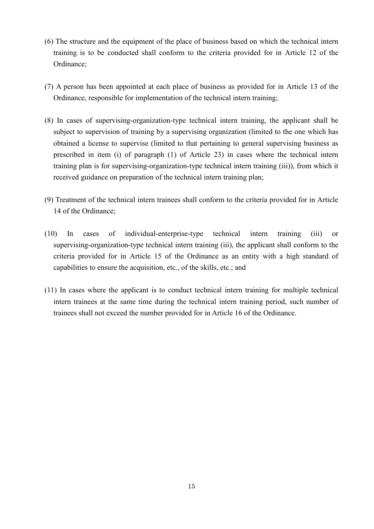- (6) The structure and the equipment of the place of business based on which the technical intern training is to be conducted shall conform to the criteria provided for in Article 12 of the Ordinance;
- (7) A person has been appointed at each place of business as provided for in Article 13 of the Ordinance, responsible for implementation of the technical intern training;
- (8) In cases of supervising-organization-type technical intern training, the applicant shall be subject to supervision of training by a supervising organization (limited to the one which has obtained a license to supervise (limited to that pertaining to general supervising business as prescribed in item (i) of paragraph (1) of Article 23) in cases where the technical intern training plan is for supervising-organization-type technical intern training (iii)), from which it received guidance on preparation of the technical intern training plan;
- (9) Treatment of the technical intern trainees shall conform to the criteria provided for in Article 14 of the Ordinance;
- (10) In cases of individual-enterprise-type technical intern training (iii) or supervising-organization-type technical intern training (iii), the applicant shall conform to the criteria provided for in Article 15 of the Ordinance as an entity with a high standard of capabilities to ensure the acquisition, etc., of the skills, etc.; and
- (11) In cases where the applicant is to conduct technical intern training for multiple technical intern trainees at the same time during the technical intern training period, such number of trainees shall not exceed the number provided for in Article 16 of the Ordinance.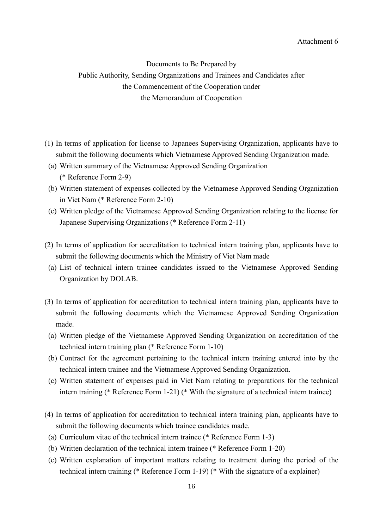Documents to Be Prepared by Public Authority, Sending Organizations and Trainees and Candidates after the Commencement of the Cooperation under the Memorandum of Cooperation

- (1) In terms of application for license to Japanees Supervising Organization, applicants have to submit the following documents which Vietnamese Approved Sending Organization made.
- (a) Written summary of the Vietnamese Approved Sending Organization (\* Reference Form 2-9)
- (b) Written statement of expenses collected by the Vietnamese Approved Sending Organization in Viet Nam (\* Reference Form 2-10)
- (c) Written pledge of the Vietnamese Approved Sending Organization relating to the license for Japanese Supervising Organizations (\* Reference Form 2-11)
- (2) In terms of application for accreditation to technical intern training plan, applicants have to submit the following documents which the Ministry of Viet Nam made
	- (a) List of technical intern trainee candidates issued to the Vietnamese Approved Sending Organization by DOLAB.
- (3) In terms of application for accreditation to technical intern training plan, applicants have to submit the following documents which the Vietnamese Approved Sending Organization made.
	- (a) Written pledge of the Vietnamese Approved Sending Organization on accreditation of the technical intern training plan (\* Reference Form 1-10)
	- (b) Contract for the agreement pertaining to the technical intern training entered into by the technical intern trainee and the Vietnamese Approved Sending Organization.
	- (c) Written statement of expenses paid in Viet Nam relating to preparations for the technical intern training (\* Reference Form 1-21) (\* With the signature of a technical intern trainee)
- (4) In terms of application for accreditation to technical intern training plan, applicants have to submit the following documents which trainee candidates made.
	- (a) Curriculum vitae of the technical intern trainee (\* Reference Form 1-3)
	- (b) Written declaration of the technical intern trainee (\* Reference Form 1-20)
	- (c) Written explanation of important matters relating to treatment during the period of the technical intern training (\* Reference Form 1-19) (\* With the signature of a explainer)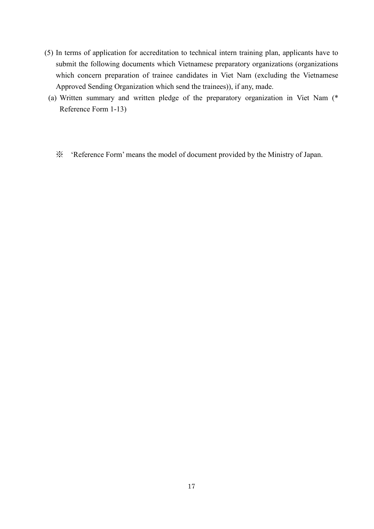- (5) In terms of application for accreditation to technical intern training plan, applicants have to submit the following documents which Vietnamese preparatory organizations (organizations which concern preparation of trainee candidates in Viet Nam (excluding the Vietnamese Approved Sending Organization which send the trainees)), if any, made.
	- (a) Written summary and written pledge of the preparatory organization in Viet Nam (\* Reference Form 1-13)
		- ※ 'Reference Form' means the model of document provided by the Ministry of Japan.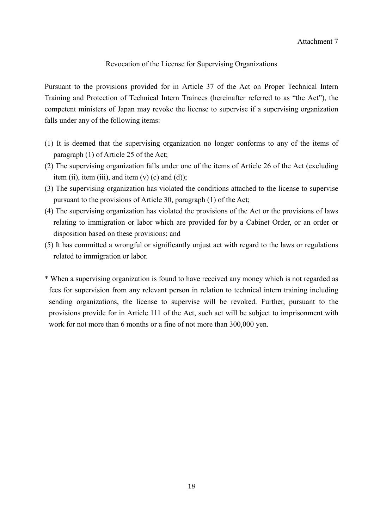### Revocation of the License for Supervising Organizations

Pursuant to the provisions provided for in Article 37 of the Act on Proper Technical Intern Training and Protection of Technical Intern Trainees (hereinafter referred to as "the Act"), the competent ministers of Japan may revoke the license to supervise if a supervising organization falls under any of the following items:

- (1) It is deemed that the supervising organization no longer conforms to any of the items of paragraph (1) of Article 25 of the Act;
- (2) The supervising organization falls under one of the items of Article 26 of the Act (excluding item (ii), item (iii), and item  $(v)$  (c) and (d));
- (3) The supervising organization has violated the conditions attached to the license to supervise pursuant to the provisions of Article 30, paragraph (1) of the Act;
- (4) The supervising organization has violated the provisions of the Act or the provisions of laws relating to immigration or labor which are provided for by a Cabinet Order, or an order or disposition based on these provisions; and
- (5) It has committed a wrongful or significantly unjust act with regard to the laws or regulations related to immigration or labor.
- \* When a supervising organization is found to have received any money which is not regarded as fees for supervision from any relevant person in relation to technical intern training including sending organizations, the license to supervise will be revoked. Further, pursuant to the provisions provide for in Article 111 of the Act, such act will be subject to imprisonment with work for not more than 6 months or a fine of not more than 300,000 yen.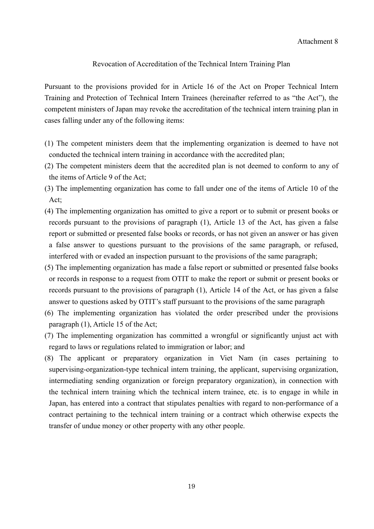### Revocation of Accreditation of the Technical Intern Training Plan

Pursuant to the provisions provided for in Article 16 of the Act on Proper Technical Intern Training and Protection of Technical Intern Trainees (hereinafter referred to as "the Act"), the competent ministers of Japan may revoke the accreditation of the technical intern training plan in cases falling under any of the following items:

- (1) The competent ministers deem that the implementing organization is deemed to have not conducted the technical intern training in accordance with the accredited plan;
- (2) The competent ministers deem that the accredited plan is not deemed to conform to any of the items of Article 9 of the Act;
- (3) The implementing organization has come to fall under one of the items of Article 10 of the Act;
- (4) The implementing organization has omitted to give a report or to submit or present books or records pursuant to the provisions of paragraph (1), Article 13 of the Act, has given a false report or submitted or presented false books or records, or has not given an answer or has given a false answer to questions pursuant to the provisions of the same paragraph, or refused, interfered with or evaded an inspection pursuant to the provisions of the same paragraph;
- (5) The implementing organization has made a false report or submitted or presented false books or records in response to a request from OTIT to make the report or submit or present books or records pursuant to the provisions of paragraph (1), Article 14 of the Act, or has given a false answer to questions asked by OTIT's staff pursuant to the provisions of the same paragraph
- (6) The implementing organization has violated the order prescribed under the provisions paragraph (1), Article 15 of the Act;
- (7) The implementing organization has committed a wrongful or significantly unjust act with regard to laws or regulations related to immigration or labor; and
- (8) The applicant or preparatory organization in Viet Nam (in cases pertaining to supervising-organization-type technical intern training, the applicant, supervising organization, intermediating sending organization or foreign preparatory organization), in connection with the technical intern training which the technical intern trainee, etc. is to engage in while in Japan, has entered into a contract that stipulates penalties with regard to non-performance of a contract pertaining to the technical intern training or a contract which otherwise expects the transfer of undue money or other property with any other people.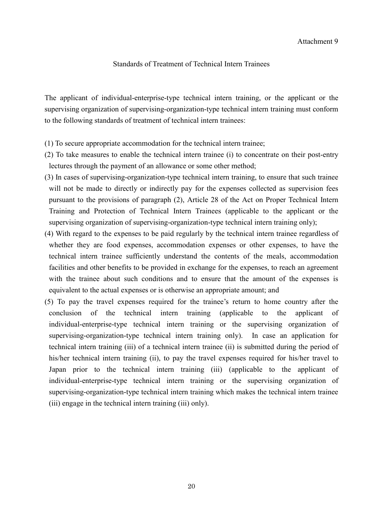#### Standards of Treatment of Technical Intern Trainees

The applicant of individual-enterprise-type technical intern training, or the applicant or the supervising organization of supervising-organization-type technical intern training must conform to the following standards of treatment of technical intern trainees:

- (1) To secure appropriate accommodation for the technical intern trainee;
- (2) To take measures to enable the technical intern trainee (i) to concentrate on their post-entry lectures through the payment of an allowance or some other method;
- (3) In cases of supervising-organization-type technical intern training, to ensure that such trainee will not be made to directly or indirectly pay for the expenses collected as supervision fees pursuant to the provisions of paragraph (2), Article 28 of the Act on Proper Technical Intern Training and Protection of Technical Intern Trainees (applicable to the applicant or the supervising organization of supervising-organization-type technical intern training only);
- (4) With regard to the expenses to be paid regularly by the technical intern trainee regardless of whether they are food expenses, accommodation expenses or other expenses, to have the technical intern trainee sufficiently understand the contents of the meals, accommodation facilities and other benefits to be provided in exchange for the expenses, to reach an agreement with the trainee about such conditions and to ensure that the amount of the expenses is equivalent to the actual expenses or is otherwise an appropriate amount; and
- (5) To pay the travel expenses required for the trainee's return to home country after the conclusion of the technical intern training (applicable to the applicant of individual-enterprise-type technical intern training or the supervising organization of supervising-organization-type technical intern training only). In case an application for technical intern training (iii) of a technical intern trainee (ii) is submitted during the period of his/her technical intern training (ii), to pay the travel expenses required for his/her travel to Japan prior to the technical intern training (iii) (applicable to the applicant of individual-enterprise-type technical intern training or the supervising organization of supervising-organization-type technical intern training which makes the technical intern trainee (iii) engage in the technical intern training (iii) only).